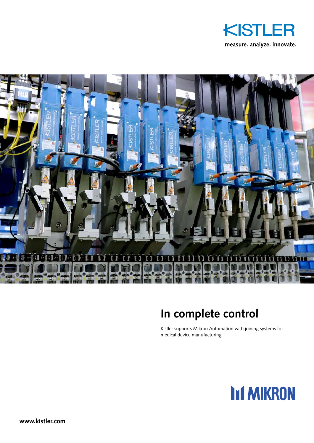



## **In complete control**

Kistler supports Mikron Automation with joining systems for medical device manufacturing

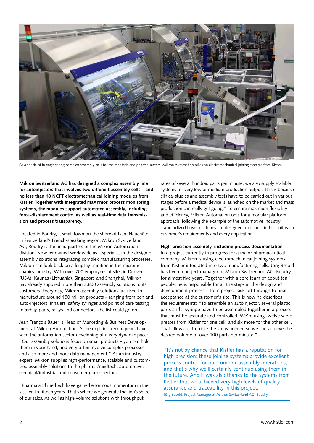

As a specialist in engineering complex assembly cells for the medtech and pharma sectors, Mikron Automation relies on electromechanical joining systems from Kistler.

**Mikron Switzerland AG has designed a complex assembly line for autoinjectors that involves two different assembly cells – and no less than 18 NCFT electromechanical joining modules from Kistler. Together with integrated maXYmos process monitoring systems, the modules support automated assembly, including force-displacement control as well as real-time data transmission and process transparency.**

Located in Boudry, a small town on the shore of Lake Neuchâtel in Switzerland's French-speaking region, Mikron Switzerland AG, Boudry is the headquarters of the Mikron Automation division. Now renowned worldwide as a specialist in the design of assembly solutions integrating complex manufacturing processes, Mikron can look back on a lengthy tradition in the micromechanics industry. With over 700 employees at sites in Denver (USA), Kaunas (Lithuania), Singapore and Shanghai, Mikron has already supplied more than 3,800 assembly solutions to its customers. Every day, Mikron assembly solutions are used to manufacture around 150 million products – ranging from pen and auto-injectors, inhalers, safety syringes and point of care testing to airbag parts, relays and connectors: the list could go on.

Jean François Bauer is Head of Marketing & Business Development at Mikron Automation. As he explains, recent years have seen the automation sector developing at a very dynamic pace: "Our assembly solutions focus on small products – you can hold them in your hand, and very often involve complex processes and also more and more data management." As an industry expert, Mikron supplies high-performance, scalable and customized assembly solutions to the pharma/medtech, automotive, electrical/industrial and consumer goods sectors.

"Pharma and medtech have gained enormous momentum in the last ten to fifteen years. That's where we generate the lion's share of our sales. As well as high-volume solutions with throughput

rates of several hundred parts per minute, we also supply scalable systems for very low or medium production output. This is because clinical studies and assembly tests have to be carried out in various stages before a medical device is launched on the market and mass production can really get going." To ensure maximum flexibility and efficiency, Mikron Automation opts for a modular platform approach, following the example of the automotive industry: standardized base machines are designed and specified to suit each customer's requirements and every application.

## **High-precision assembly, including process documentation**

In a project currently in progress for a major pharmaceutical company, Mikron is using electromechanical joining systems from Kistler integrated into two manufacturing cells. Jörg Besold has been a project manager at Mikron Switzerland AG, Boudry for almost five years. Together with a core team of about ten people, he is responsible for all the steps in the design and development process – from project kick-off through to final acceptance at the customer's site. This is how he describes the requirements: "To assemble an autoinjector, several plastic parts and a syringe have to be assembled together in a process that must be accurate and controlled. We're using twelve servo presses from Kistler for one cell, and six more for the other cell. That allows us to triple the steps needed so we can achieve the desired volume of over 100 parts per minute."

"It's not by chance that Kistler has a reputation for high precision: these joining systems provide excellent process control for our complex assembly operations, and that's why we'll certainly continue using them in the future. And it was also thanks to the systems from Kistler that we achieved very high levels of quality assurance and traceability in this project." Jörg Besold, Project Manager at Mikron Switzerland AG, Boudry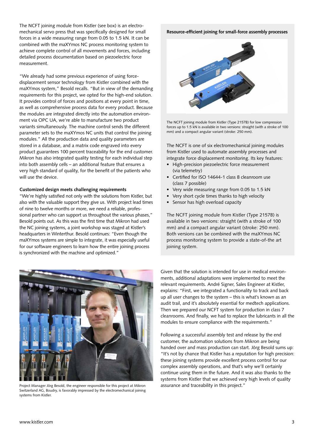The NCFT joining module from Kistler (see box) is an electromechanical servo press that was specifically designed for small forces in a wide measuring range from 0.05 to 1.5 kN. It can be combined with the maXYmos NC process monitoring system to achieve complete control of all movements and forces, including detailed process documentation based on piezoelectric force measurement.

"We already had some previous experience of using forcedisplacement sensor technology from Kistler combined with the maXYmos system," Besold recalls. "But in view of the demanding requirements for this project, we opted for the high-end solution. It provides control of forces and positions at every point in time, as well as comprehensive process data for every product. Because the modules are integrated directly into the automation environment via OPC UA, we're able to manufacture two product variants simultaneously. The machine control sends the different parameter sets to the maXYmos NC units that control the joining modules." All the production data and quality parameters are stored in a database, and a matrix code engraved into every product guarantees 100 percent traceability for the end customer. Mikron has also integrated quality testing for each individual step into both assembly cells – an additional feature that ensures a very high standard of quality, for the benefit of the patients who will use the device.

## **Customized design meets challenging requirements**

"We're highly satisfied not only with the solutions from Kistler, but also with the valuable support they give us. With project lead times of nine to twelve months or more, we need a reliable, professional partner who can support us throughout the various phases," Besold points out. As this was the first time that Mikron had used the NC joining systems, a joint workshop was staged at Kistler's headquarters in Winterthur. Besold continues: "Even though the maXYmos systems are simple to integrate, it was especially useful for our software engineers to learn how the entire joining process is synchronized with the machine and optimized."

## **Resource-efficient joining for small-force assembly processes**



The NCFT joining module from Kistler (Type 2157B) for low compression forces up to 1.5 kN is available in two versions: straight (with a stroke of 100 mm) and a compact angular variant (stroke: 250 mm).

The NCFT is one of six electromechanical joining modules from Kistler used to automate assembly processes and integrate force displacement monitoring. Its key features:

- High-precision piezoelectric force measurement (via telemetry)
- Certified for ISO 14644-1 class 8 cleanroom use (class 7 possible)
- Very wide measuring range from 0.05 to 1.5 kN
- Very short cycle times thanks to high velocity
- Sensor has high overload capacity

The NCFT joining module from Kistler (Type 2157B) is available in two versions: straight (with a stroke of 100 mm) and a compact angular variant (stroke: 250 mm). Both versions can be combined with the maXYmos NC process monitoring system to provide a state-of-the art joining system.



Project Manager Jörg Besold, the engineer responsible for this project at Mikron assurance and traceability in this project." Switzerland AG, Boudry, is favorably impressed by the electromechanical joining systems from Kistler.

Given that the solution is intended for use in medical environments, additional adaptations were implemented to meet the relevant requirements. André Signer, Sales Engineer at Kistler, explains: "First, we integrated a functionality to track and back up all user changes to the system – this is what's known as an audit trail, and it's absolutely essential for medtech applications. Then we prepared our NCFT system for production in class 7 cleanrooms. And finally, we had to replace the lubricants in all the modules to ensure compliance with the requirements."

Following a successful assembly test and release by the end customer, the automation solutions from Mikron are being handed over and mass production can start. Jörg Besold sums up: "It's not by chance that Kistler has a reputation for high precision: these joining systems provide excellent process control for our complex assembly operations, and that's why we'll certainly continue using them in the future. And it was also thanks to the systems from Kistler that we achieved very high levels of quality